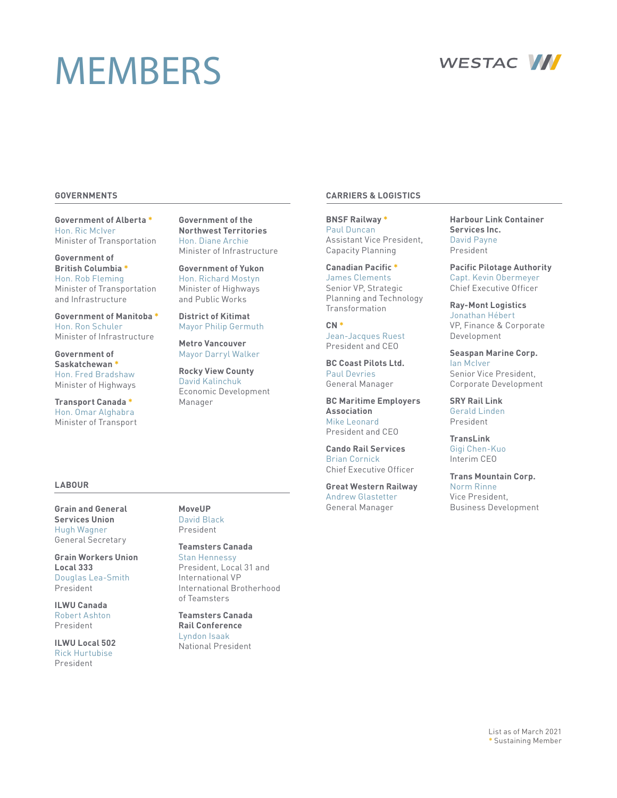# **MEMBERS**



### **GOVERNMENTS**

**Government of Alberta \*** Hon. Ric McIver Minister of Transportation

**Government of British Columbia \*** Hon. Rob Fleming Minister of Transportation and Infrastructure

**Government of Manitoba \*** Hon. Ron Schuler Minister of Infrastructure

**Government of Saskatchewan \*** Hon. Fred Bradshaw Minister of Highways

**Transport Canada \*** Hon. Omar Alghabra Minister of Transport

### **Government of the Northwest Territories** Hon. Diane Archie Minister of Infrastructure

**Government of Yukon** Hon. Richard Mostyn Minister of Highways and Public Works

**District of Kitimat** Mayor Philip Germuth

**Metro Vancouver** Mayor Darryl Walker

**Rocky View County** David Kalinchuk Economic Development Manager

### **CARRIERS & LOGISTICS**

**BNSF Railway \*** Paul Duncan Assistant Vice President, Capacity Planning

**Canadian Pacific \*** James Clements Senior VP, Strategic Planning and Technology Transformation

**CN \*** Jean-Jacques Ruest President and CEO

**BC Coast Pilots Ltd.** Paul Devries General Manager

**BC Maritime Employers Association** Mike Leonard President and CEO

**Cando Rail Services** Brian Cornick Chief Executive Officer

**Great Western Railway** Andrew Glastetter General Manager

**Harbour Link Container Services Inc.** David Payne President

**Pacific Pilotage Authority** Capt. Kevin Obermeyer Chief Executive Officer

**Ray-Mont Logistics** Jonathan Hébert VP, Finance & Corporate Development

**Seaspan Marine Corp.** Ian McIver Senior Vice President, Corporate Development

**SRY Rail Link** Gerald Linden President

**TransLink** Gigi Chen-Kuo Interim CEO

**Trans Mountain Corp.** Norm Rinne Vice President, Business Development

## **LABOUR**

**Grain and General Services Union** Hugh Wagner General Secretary

**Grain Workers Union Local 333** Douglas Lea-Smith President

**ILWU Canada** Robert Ashton President

**ILWU Local 502** Rick Hurtubise President

# **MoveUP**

David Black President

**Teamsters Canada** Stan Hennessy President, Local 31 and International VP International Brotherhood of Teamsters

**Teamsters Canada Rail Conference** Lyndon Isaak National President